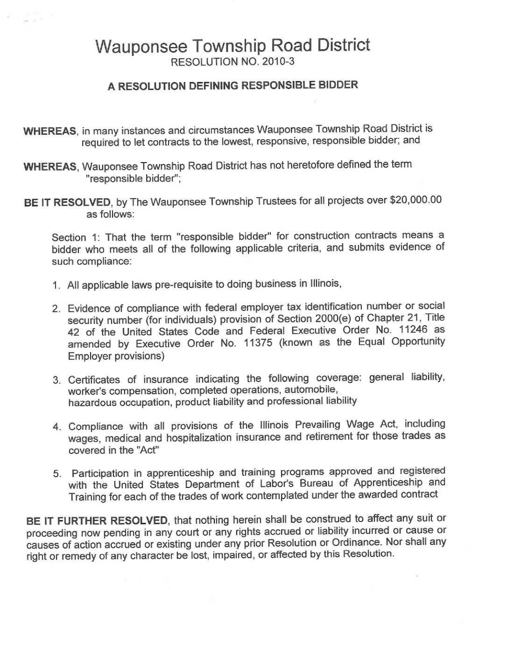## Wauponsee Township Road District RESOLUTION NO. 2010-3

## **A RESOLUTION DEFINING RESPONSIBLE BIDDER**

- **WHEREAS,** in many instances and circumstances Wauponsee Township Road District is required to let contracts to the lowest, responsive, responsible bidder; and
- **WHEREAS,** Wauponsee Township Road District has not heretofore defined the term "responsible bidder";
- **BE IT RESOLVED,** by The Wauponsee Township Trustees for all projects over \$20,000.00 as follows:

Section 1: That the term "responsible bidder" for construction contracts means a bidder who meets all of the following applicable criteria, and submits evidence of such compliance:

- 1. All applicable laws pre-requisite to doing business in Illinois,
- 2. Evidence of compliance with federal employer tax identification number or social security number (for individuals) provision of Section 2000(e) of Chapter 21, Title 42 of the United States Code and Federal Executive Order No. 11246 as amended by Executive Order No. 11375 (known as the Equal Opportunity Employer provisions)
- 3. Certificates of insurance indicating the following coverage: general liability, worker's compensation, completed operations, automobile, hazardous occupation, product liability and professional liability
- 4. Compliance with all provisions of the Illinois Prevailing Wage Act, including wages, medical and hospitalization insurance and retirement for those trades as covered in the "Act"
- 5. Participation in apprenticeship and training programs approved and registered with the United States Department of Labor's Bureau of Apprenticeship and Training for each of the trades of work contemplated under the awarded contract

**BE IT FURTHER RESOLVED,** that nothing herein shall be construed to affect any suit or proceeding now pending in any court or any rights accrued or liability incurred or cause or causes of action accrued or existing under any prior Resolution or Ordinance. Nor shall any right or remedy of any character be lost, impaired, or affected by this Resolution.